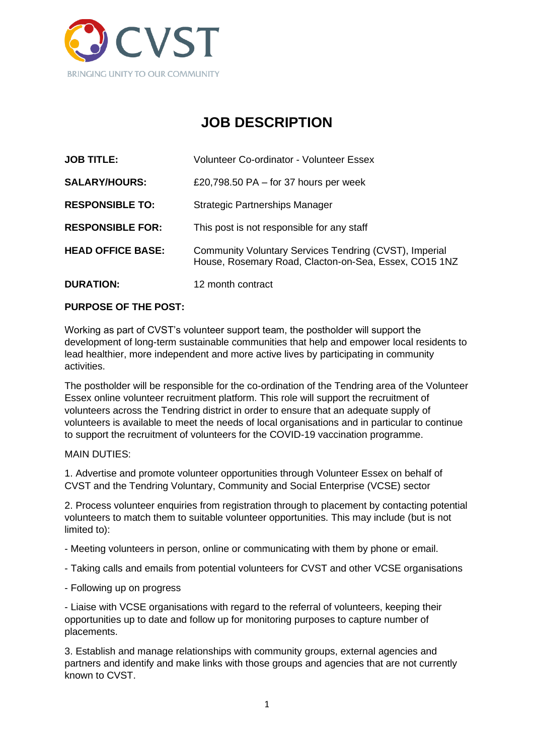

# **JOB DESCRIPTION**

| <b>JOB TITLE:</b>        | <b>Volunteer Co-ordinator - Volunteer Essex</b>                                                                 |
|--------------------------|-----------------------------------------------------------------------------------------------------------------|
| <b>SALARY/HOURS:</b>     | £20,798.50 PA $-$ for 37 hours per week                                                                         |
| <b>RESPONSIBLE TO:</b>   | Strategic Partnerships Manager                                                                                  |
| <b>RESPONSIBLE FOR:</b>  | This post is not responsible for any staff                                                                      |
| <b>HEAD OFFICE BASE:</b> | Community Voluntary Services Tendring (CVST), Imperial<br>House, Rosemary Road, Clacton-on-Sea, Essex, CO15 1NZ |
| DURATION:                | 12 month contract                                                                                               |

# **PURPOSE OF THE POST:**

Working as part of CVST's volunteer support team, the postholder will support the development of long-term sustainable communities that help and empower local residents to lead healthier, more independent and more active lives by participating in community activities.

The postholder will be responsible for the co-ordination of the Tendring area of the Volunteer Essex online volunteer recruitment platform. This role will support the recruitment of volunteers across the Tendring district in order to ensure that an adequate supply of volunteers is available to meet the needs of local organisations and in particular to continue to support the recruitment of volunteers for the COVID-19 vaccination programme.

#### MAIN DUTIES:

1. Advertise and promote volunteer opportunities through Volunteer Essex on behalf of CVST and the Tendring Voluntary, Community and Social Enterprise (VCSE) sector

2. Process volunteer enquiries from registration through to placement by contacting potential volunteers to match them to suitable volunteer opportunities. This may include (but is not limited to):

- Meeting volunteers in person, online or communicating with them by phone or email.
- Taking calls and emails from potential volunteers for CVST and other VCSE organisations
- Following up on progress

- Liaise with VCSE organisations with regard to the referral of volunteers, keeping their opportunities up to date and follow up for monitoring purposes to capture number of placements.

3. Establish and manage relationships with community groups, external agencies and partners and identify and make links with those groups and agencies that are not currently known to CVST.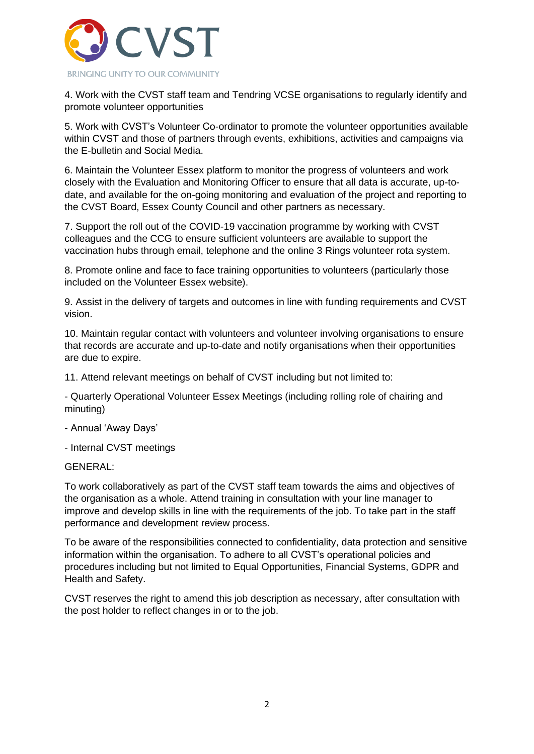

4. Work with the CVST staff team and Tendring VCSE organisations to regularly identify and promote volunteer opportunities

5. Work with CVST's Volunteer Co-ordinator to promote the volunteer opportunities available within CVST and those of partners through events, exhibitions, activities and campaigns via the E-bulletin and Social Media.

6. Maintain the Volunteer Essex platform to monitor the progress of volunteers and work closely with the Evaluation and Monitoring Officer to ensure that all data is accurate, up-todate, and available for the on-going monitoring and evaluation of the project and reporting to the CVST Board, Essex County Council and other partners as necessary.

7. Support the roll out of the COVID-19 vaccination programme by working with CVST colleagues and the CCG to ensure sufficient volunteers are available to support the vaccination hubs through email, telephone and the online 3 Rings volunteer rota system.

8. Promote online and face to face training opportunities to volunteers (particularly those included on the Volunteer Essex website).

9. Assist in the delivery of targets and outcomes in line with funding requirements and CVST vision.

10. Maintain regular contact with volunteers and volunteer involving organisations to ensure that records are accurate and up-to-date and notify organisations when their opportunities are due to expire.

11. Attend relevant meetings on behalf of CVST including but not limited to:

- Quarterly Operational Volunteer Essex Meetings (including rolling role of chairing and minuting)

- Annual 'Away Days'
- Internal CVST meetings

#### GENERAL:

To work collaboratively as part of the CVST staff team towards the aims and objectives of the organisation as a whole. Attend training in consultation with your line manager to improve and develop skills in line with the requirements of the job. To take part in the staff performance and development review process.

To be aware of the responsibilities connected to confidentiality, data protection and sensitive information within the organisation. To adhere to all CVST's operational policies and procedures including but not limited to Equal Opportunities, Financial Systems, GDPR and Health and Safety.

CVST reserves the right to amend this job description as necessary, after consultation with the post holder to reflect changes in or to the job.